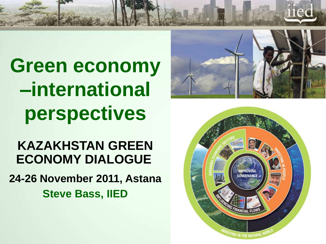**Green economy –international perspectives**

**KAZAKHSTAN GREEN ECONOMY DIALOGUE**

**24-26 November 2011, Astana Steve Bass, IIED**



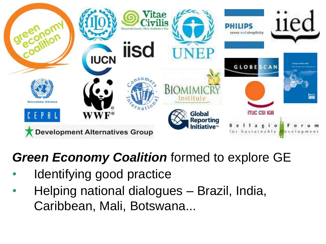

### *Green Economy Coalition* formed to explore GE

- Identifying good practice
- Helping national dialogues Brazil, India, Caribbean, Mali, Botswana...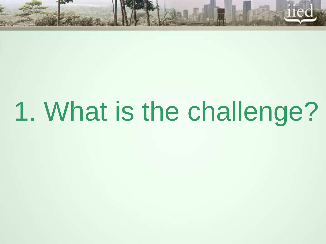# 1. What is the challenge?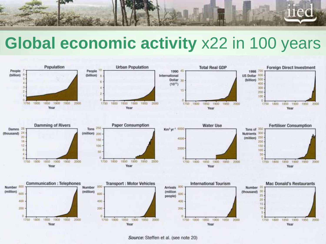

# **Global economic activity** x22 in 100 years



Source: Steffen et al. (see note 20)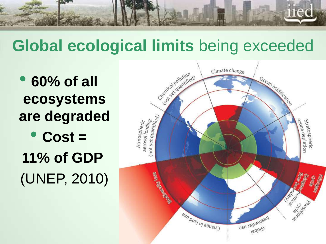

# **Global ecological limits** being exceeded

• **60% of all ecosystems are degraded** • **Cost = 11% of GDP**  (UNEP, 2010)

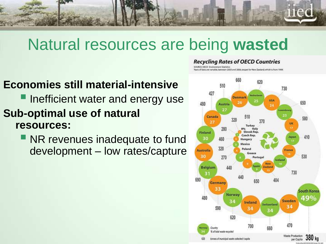

# Natural resources are being **wasted**

#### **Economies still material-intensive**

### **Inefficient water and energy use Sub-optimal use of natural resources:**

**NR revenues inadequate to fund** development – low rates/capture

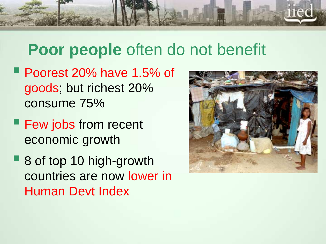

# **Poor people** often do not benefit

- Poorest 20% have 1.5% of goods; but richest 20% consume 75%
- **Few jobs from recent** economic growth
- 8 of top 10 high-growth countries are now lower in Human Devt Index

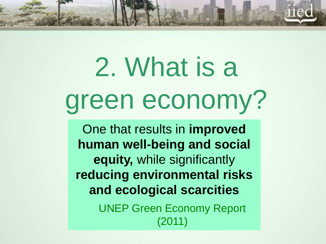# 2. What is a green economy?

One that results in **improved human well-being and social equity,** while significantly **reducing environmental risks and ecological scarcities** UNEP Green Economy Report (2011)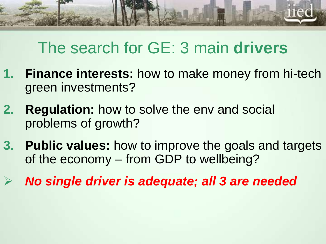

# The search for GE: 3 main **drivers**

- **1. Finance interests:** how to make money from hi-tech green investments?
- **2. Regulation:** how to solve the env and social problems of growth?
- **3. Public values:** how to improve the goals and targets of the economy – from GDP to wellbeing?
	- *No single driver is adequate; all 3 are needed*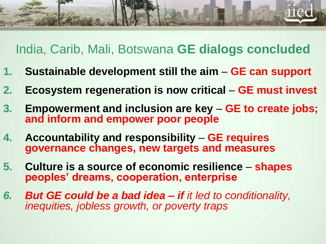

### India, Carib, Mali, Botswana **GE dialogs concluded**

- **1. Sustainable development still the aim GE can support**
- **2. Ecosystem regeneration is now critical GE must invest**
- **3. Empowerment and inclusion are key GE to create jobs; and inform and empower poor people**
- **4. Accountability and responsibility GE requires governance changes, new targets and measures**
- **5. Culture is a source of economic resilience shapes peoples' dreams, cooperation, enterprise**
- *6. But GE could be a bad idea – if it led to conditionality, inequities, jobless growth, or poverty traps*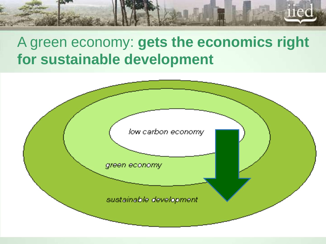

### A green economy: **gets the economics right for sustainable development**

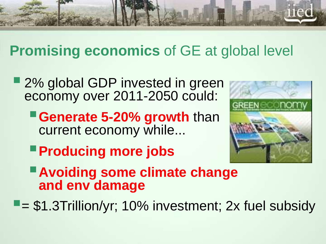

### **Promising economics** of GE at global level

- 2% global GDP invested in green economy over 2011-2050 could:
	- **Generate 5-20% growth than** current economy while...
- 
- **Producing more jobs**
- **Avoiding some climate change and env damage**

 $\blacksquare$  = \$1.3Trillion/yr; 10% investment; 2x fuel subsidy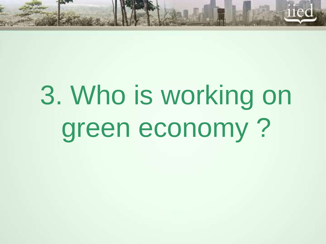

# 3. Who is working on green economy ?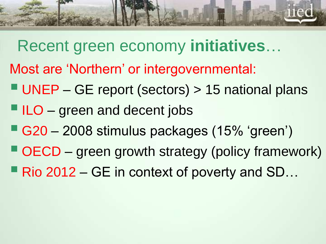

- Recent green economy **initiatives**…
- Most are 'Northern' or intergovernmental:
- UNEP GE report (sectors) > 15 national plans
- $\blacksquare$  ILO green and decent jobs
- G20 2008 stimulus packages (15% 'green')
- OECD green growth strategy (policy framework)
- Rio 2012 GE in context of poverty and SD...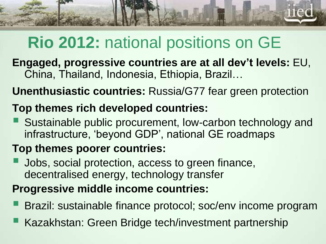

# **Rio 2012:** national positions on GE

**Engaged, progressive countries are at all dev't levels:** EU, China, Thailand, Indonesia, Ethiopia, Brazil…

**Unenthusiastic countries:** Russia/G77 fear green protection

### **Top themes rich developed countries:**

 Sustainable public procurement, low-carbon technology and infrastructure, 'beyond GDP', national GE roadmaps

### **Top themes poorer countries:**

**Jobs, social protection, access to green finance,** decentralised energy, technology transfer

### **Progressive middle income countries:**

- Brazil: sustainable finance protocol; soc/env income program
- **Kazakhstan: Green Bridge tech/investment partnership**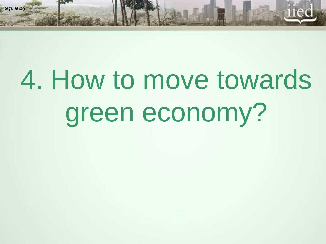# 4. How to move towards green economy?

lation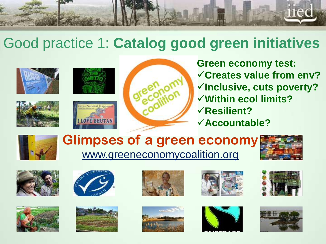

### Good practice 1: **Catalog good green initiatives**











**Green economy test: Creates value from env? Inclusive, cuts poverty? Within ecol limits? Resilient? Accountable?**



### **Glimpses of a green economy** www.greeneconomycoalition.org





















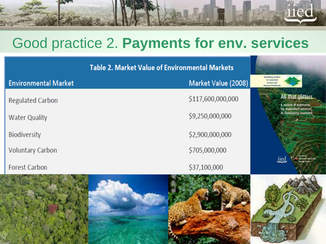

### Good practice 2. **Payments for env. services**

| <b>Table 2. Market Value of Environmental Markets</b> |                     |                                                                             |
|-------------------------------------------------------|---------------------|-----------------------------------------------------------------------------|
| <b>Environmental Market</b>                           | Market Value (2008) | Developing markets<br>far watershed<br>services and<br>improved livelihoods |
| <b>Regulated Carbon</b>                               | \$117,600,000,000   | All that glitters<br>A review of payments                                   |
| <b>Water Quality</b>                                  | \$9,250,000,000     | for watershed services<br>in developing countries                           |
| <b>Biodiversity</b>                                   | \$2,900,000,000     |                                                                             |
| <b>Voluntary Carbon</b>                               | \$705,000,000       | na Porta                                                                    |
| <b>Forest Carbon</b>                                  | \$37,100,000        | iied                                                                        |
|                                                       |                     |                                                                             |

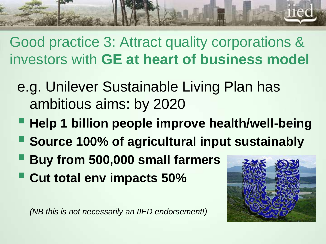Good practice 3: Attract quality corporations & investors with **GE at heart of business model**

- e.g. Unilever Sustainable Living Plan has ambitious aims: by 2020
- **Help 1 billion people improve health/well-being**
- **Source 100% of agricultural input sustainably**
- **Buy from 500,000 small farmers**
- **Cut total env impacts 50%**

*(NB this is not necessarily an IIED endorsement!)*

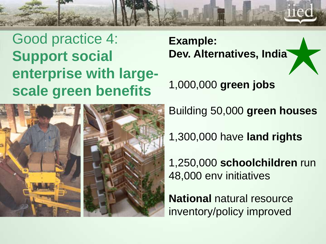

Good practice 4: **Support social enterprise with largescale green benefits**

**Example: Dev. Alternatives, India**

1,000,000 **green jobs** 



Building 50,000 **green houses**

1,300,000 have **land rights**

1,250,000 **schoolchildren** run 48,000 env initiatives

**National** natural resource inventory/policy improved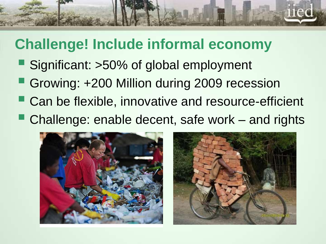

### **Challenge! Include informal economy**

- Significant: >50% of global employment
- Growing: +200 Million during 2009 recession
- Can be flexible, innovative and resource-efficient
- Challenge: enable decent, safe work and rights

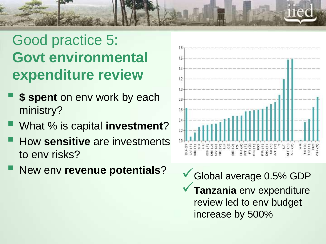# Good practice 5: **Govt environmental expenditure review**

- **\$ spent** on env work by each ministry?
- What % is capital **investment**?
- How **sensitive** are investments to env risks?
- New env revenue potentials?  $\checkmark$  Global average 0.5% GDP



**Tanzania** env expenditure review led to env budget increase by 500%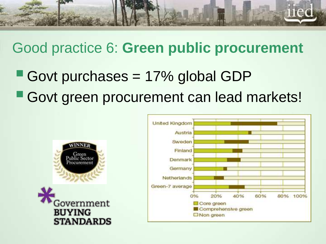

### Good practice 6: **Green public procurement**

Govt purchases  $= 17\%$  global GDP **Govt green procurement can lead markets!** 



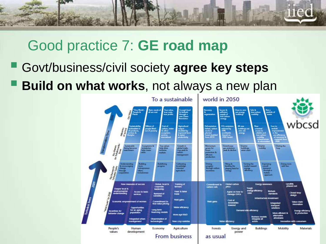

### Good practice 7: **GE road map**

- Govt/business/civil society **agree key steps**
- **Build on what works**, not always a new plan

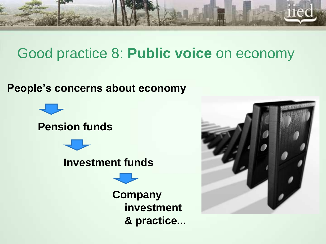

### Good practice 8: **Public voice** on economy

#### **People's concerns about economy**



### **Pension funds**



#### **Investment funds**

**Company investment & practice...**

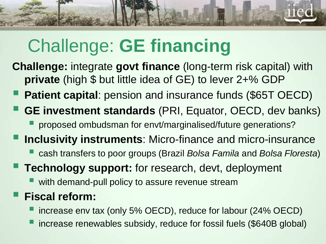# Challenge: **GE financing**

- **Challenge:** integrate **govt finance** (long-term risk capital) with **private** (high \$ but little idea of GE) to lever 2+% GDP
	- **Patient capital:** pension and insurance funds (\$65T OECD)
- **GE investment standards** (PRI, Equator, OECD, dev banks)
	- **proposed ombudsman for envt/marginalised/future generations?**
- **Inclusivity instruments**: Micro-finance and micro-insurance
	- cash transfers to poor groups (Brazil *Bolsa Famila* and *Bolsa Floresta*)
- **Technology support:** for research, devt, deployment
	- with demand-pull policy to assure revenue stream

### **Fiscal reform:**

- increase env tax (only 5% OECD), reduce for labour (24% OECD)
- increase renewables subsidy, reduce for fossil fuels (\$640B global)